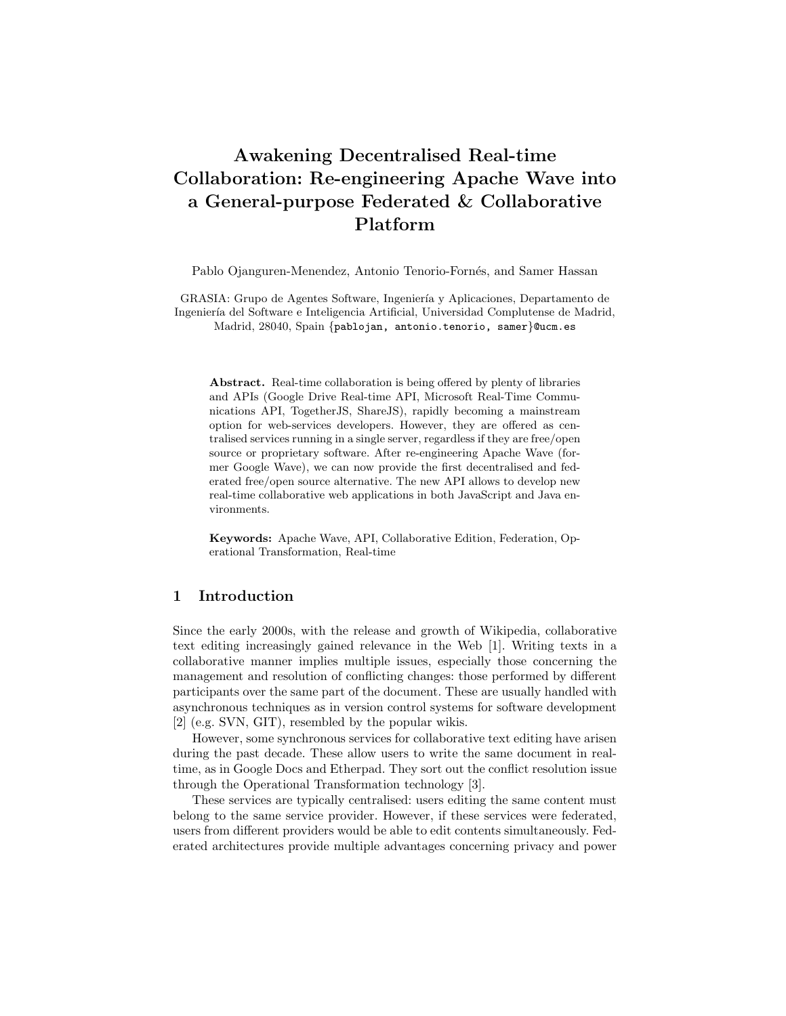# Awakening Decentralised Real-time Collaboration: Re-engineering Apache Wave into a General-purpose Federated & Collaborative Platform

Pablo Ojanguren-Menendez, Antonio Tenorio-Fornés, and Samer Hassan

GRASIA: Grupo de Agentes Software, Ingeniería y Aplicaciones, Departamento de Ingeniería del Software e Inteligencia Artificial, Universidad Complutense de Madrid, Madrid, 28040, Spain {pablojan, antonio.tenorio, samer}@ucm.es

Abstract. Real-time collaboration is being offered by plenty of libraries and APIs (Google Drive Real-time API, Microsoft Real-Time Communications API, TogetherJS, ShareJS), rapidly becoming a mainstream option for web-services developers. However, they are offered as centralised services running in a single server, regardless if they are free/open source or proprietary software. After re-engineering Apache Wave (former Google Wave), we can now provide the first decentralised and federated free/open source alternative. The new API allows to develop new real-time collaborative web applications in both JavaScript and Java environments.

Keywords: Apache Wave, API, Collaborative Edition, Federation, Operational Transformation, Real-time

## 1 Introduction

Since the early 2000s, with the release and growth of Wikipedia, collaborative text editing increasingly gained relevance in the Web [1]. Writing texts in a collaborative manner implies multiple issues, especially those concerning the management and resolution of conflicting changes: those performed by different participants over the same part of the document. These are usually handled with asynchronous techniques as in version control systems for software development [2] (e.g. SVN, GIT), resembled by the popular wikis.

However, some synchronous services for collaborative text editing have arisen during the past decade. These allow users to write the same document in realtime, as in Google Docs and Etherpad. They sort out the conflict resolution issue through the Operational Transformation technology [3].

These services are typically centralised: users editing the same content must belong to the same service provider. However, if these services were federated, users from different providers would be able to edit contents simultaneously. Federated architectures provide multiple advantages concerning privacy and power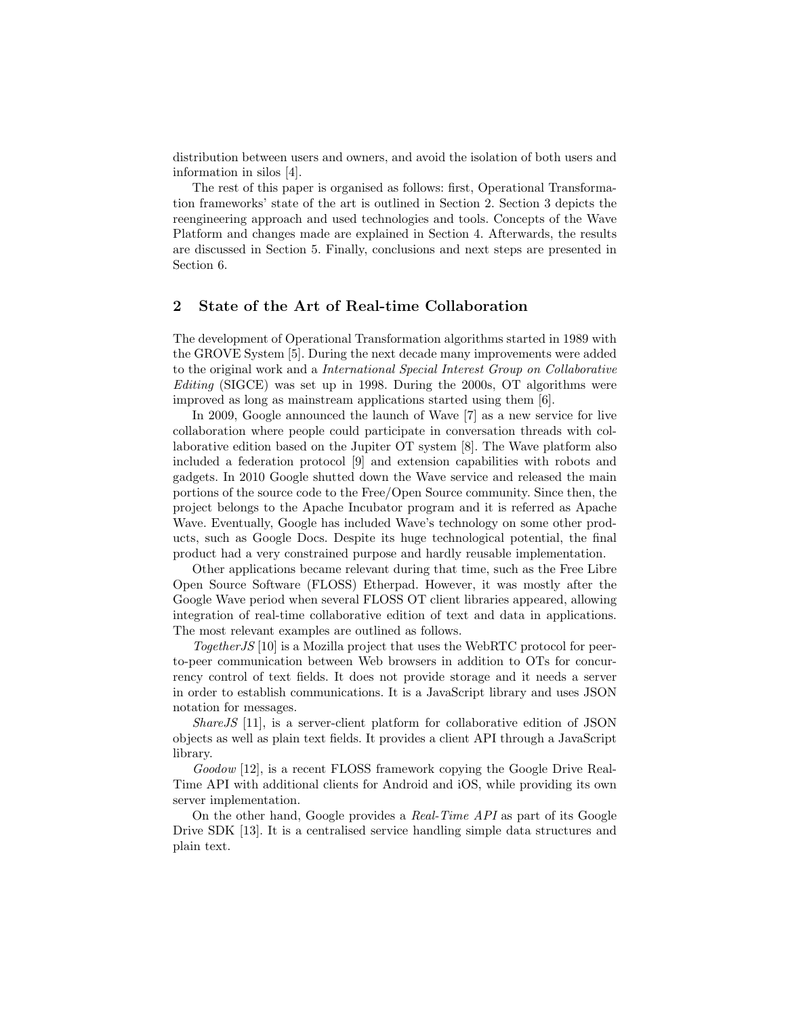distribution between users and owners, and avoid the isolation of both users and information in silos [4].

The rest of this paper is organised as follows: first, Operational Transformation frameworks' state of the art is outlined in Section 2. Section 3 depicts the reengineering approach and used technologies and tools. Concepts of the Wave Platform and changes made are explained in Section 4. Afterwards, the results are discussed in Section 5. Finally, conclusions and next steps are presented in Section 6.

## 2 State of the Art of Real-time Collaboration

The development of Operational Transformation algorithms started in 1989 with the GROVE System [5]. During the next decade many improvements were added to the original work and a International Special Interest Group on Collaborative Editing (SIGCE) was set up in 1998. During the 2000s, OT algorithms were improved as long as mainstream applications started using them [6].

In 2009, Google announced the launch of Wave [7] as a new service for live collaboration where people could participate in conversation threads with collaborative edition based on the Jupiter OT system [8]. The Wave platform also included a federation protocol [9] and extension capabilities with robots and gadgets. In 2010 Google shutted down the Wave service and released the main portions of the source code to the Free/Open Source community. Since then, the project belongs to the Apache Incubator program and it is referred as Apache Wave. Eventually, Google has included Wave's technology on some other products, such as Google Docs. Despite its huge technological potential, the final product had a very constrained purpose and hardly reusable implementation.

Other applications became relevant during that time, such as the Free Libre Open Source Software (FLOSS) Etherpad. However, it was mostly after the Google Wave period when several FLOSS OT client libraries appeared, allowing integration of real-time collaborative edition of text and data in applications. The most relevant examples are outlined as follows.

TogetherJS [10] is a Mozilla project that uses the WebRTC protocol for peerto-peer communication between Web browsers in addition to OTs for concurrency control of text fields. It does not provide storage and it needs a server in order to establish communications. It is a JavaScript library and uses JSON notation for messages.

ShareJS [11], is a server-client platform for collaborative edition of JSON objects as well as plain text fields. It provides a client API through a JavaScript library.

Goodow [12], is a recent FLOSS framework copying the Google Drive Real-Time API with additional clients for Android and iOS, while providing its own server implementation.

On the other hand, Google provides a Real-Time API as part of its Google Drive SDK [13]. It is a centralised service handling simple data structures and plain text.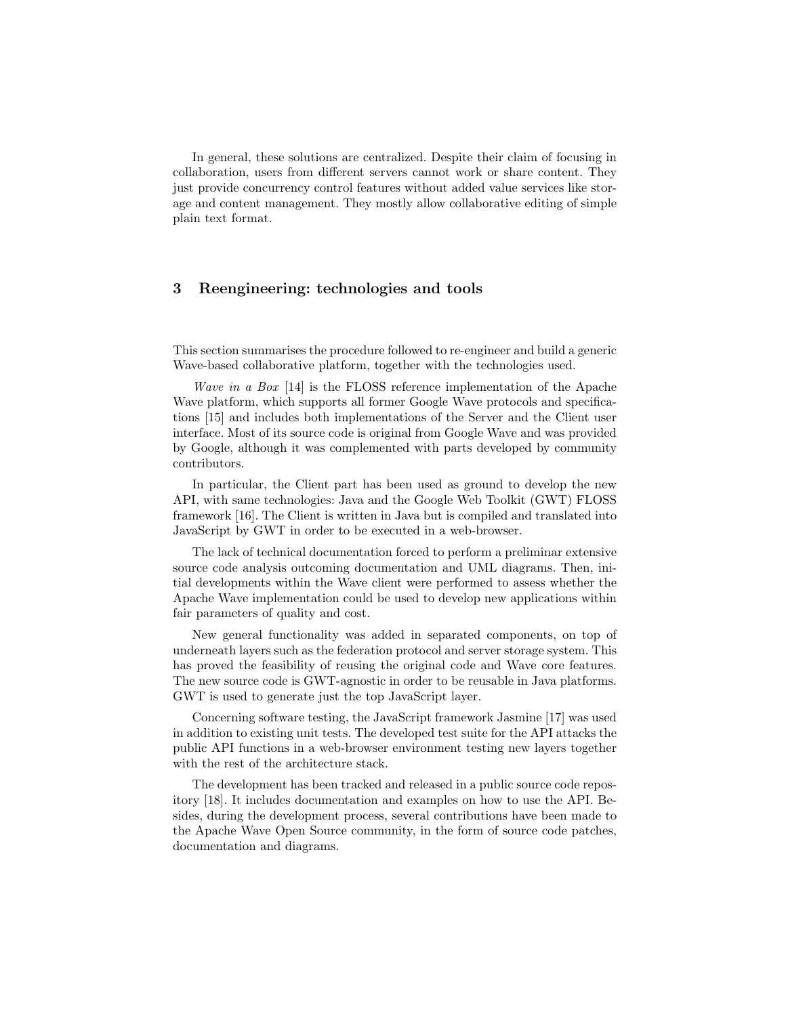In general, these solutions are centralized. Despite their claim of focusing in collaboration, users from different servers cannot work or share content. They just provide concurrency control features without added value services like storage and content management. They mostly allow collaborative editing of simple plain text format.

# 3 Reengineering: technologies and tools

This section summarises the procedure followed to re-engineer and build a generic Wave-based collaborative platform, together with the technologies used.

Wave in a Box [14] is the FLOSS reference implementation of the Apache Wave platform, which supports all former Google Wave protocols and specifications [15] and includes both implementations of the Server and the Client user interface. Most of its source code is original from Google Wave and was provided by Google, although it was complemented with parts developed by community contributors.

In particular, the Client part has been used as ground to develop the new API, with same technologies: Java and the Google Web Toolkit (GWT) FLOSS framework [16]. The Client is written in Java but is compiled and translated into JavaScript by GWT in order to be executed in a web-browser.

The lack of technical documentation forced to perform a preliminar extensive source code analysis outcoming documentation and UML diagrams. Then, initial developments within the Wave client were performed to assess whether the Apache Wave implementation could be used to develop new applications within fair parameters of quality and cost.

New general functionality was added in separated components, on top of underneath layers such as the federation protocol and server storage system. This has proved the feasibility of reusing the original code and Wave core features. The new source code is GWT-agnostic in order to be reusable in Java platforms. GWT is used to generate just the top JavaScript layer.

Concerning software testing, the JavaScript framework Jasmine [17] was used in addition to existing unit tests. The developed test suite for the API attacks the public API functions in a web-browser environment testing new layers together with the rest of the architecture stack.

The development has been tracked and released in a public source code repository [18]. It includes documentation and examples on how to use the API. Besides, during the development process, several contributions have been made to the Apache Wave Open Source community, in the form of source code patches, documentation and diagrams.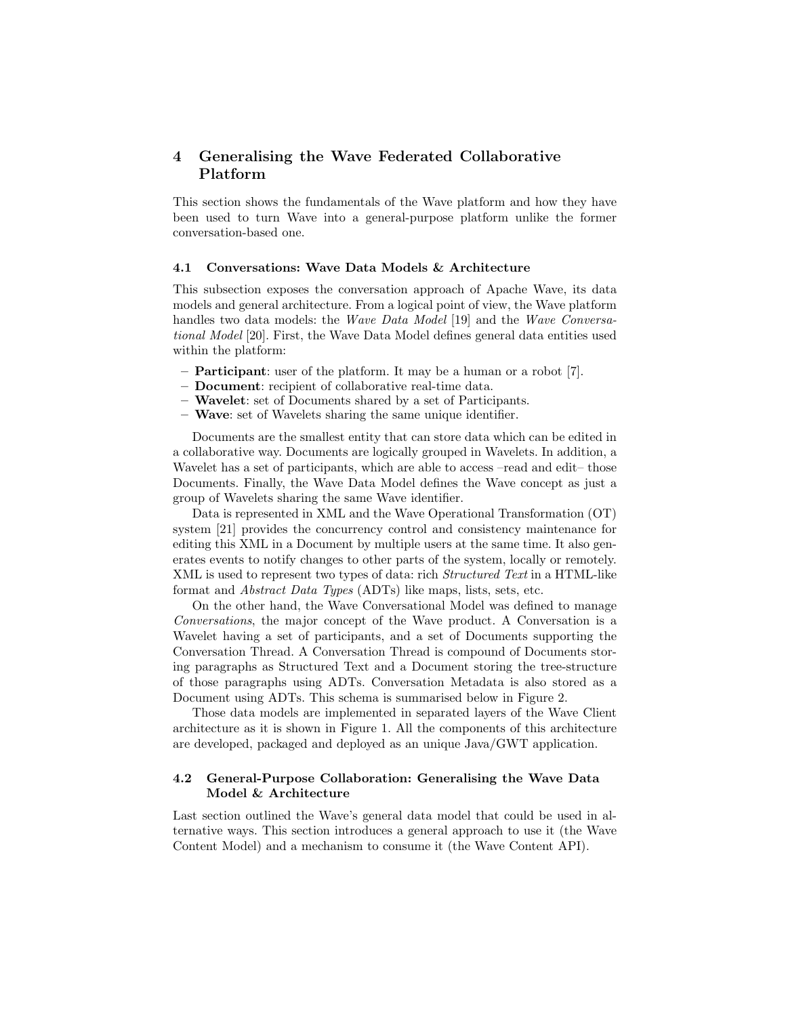## 4 Generalising the Wave Federated Collaborative Platform

This section shows the fundamentals of the Wave platform and how they have been used to turn Wave into a general-purpose platform unlike the former conversation-based one.

#### 4.1 Conversations: Wave Data Models & Architecture

This subsection exposes the conversation approach of Apache Wave, its data models and general architecture. From a logical point of view, the Wave platform handles two data models: the *Wave Data Model* [19] and the *Wave Conversa*tional Model [20]. First, the Wave Data Model defines general data entities used within the platform:

- Participant: user of the platform. It may be a human or a robot [7].
- Document: recipient of collaborative real-time data.
- Wavelet: set of Documents shared by a set of Participants.
- Wave: set of Wavelets sharing the same unique identifier.

Documents are the smallest entity that can store data which can be edited in a collaborative way. Documents are logically grouped in Wavelets. In addition, a Wavelet has a set of participants, which are able to access –read and edit– those Documents. Finally, the Wave Data Model defines the Wave concept as just a group of Wavelets sharing the same Wave identifier.

Data is represented in XML and the Wave Operational Transformation (OT) system [21] provides the concurrency control and consistency maintenance for editing this XML in a Document by multiple users at the same time. It also generates events to notify changes to other parts of the system, locally or remotely. XML is used to represent two types of data: rich *Structured Text* in a HTML-like format and Abstract Data Types (ADTs) like maps, lists, sets, etc.

On the other hand, the Wave Conversational Model was defined to manage Conversations, the major concept of the Wave product. A Conversation is a Wavelet having a set of participants, and a set of Documents supporting the Conversation Thread. A Conversation Thread is compound of Documents storing paragraphs as Structured Text and a Document storing the tree-structure of those paragraphs using ADTs. Conversation Metadata is also stored as a Document using ADTs. This schema is summarised below in Figure 2.

Those data models are implemented in separated layers of the Wave Client architecture as it is shown in Figure 1. All the components of this architecture are developed, packaged and deployed as an unique Java/GWT application.

#### 4.2 General-Purpose Collaboration: Generalising the Wave Data Model & Architecture

Last section outlined the Wave's general data model that could be used in alternative ways. This section introduces a general approach to use it (the Wave Content Model) and a mechanism to consume it (the Wave Content API).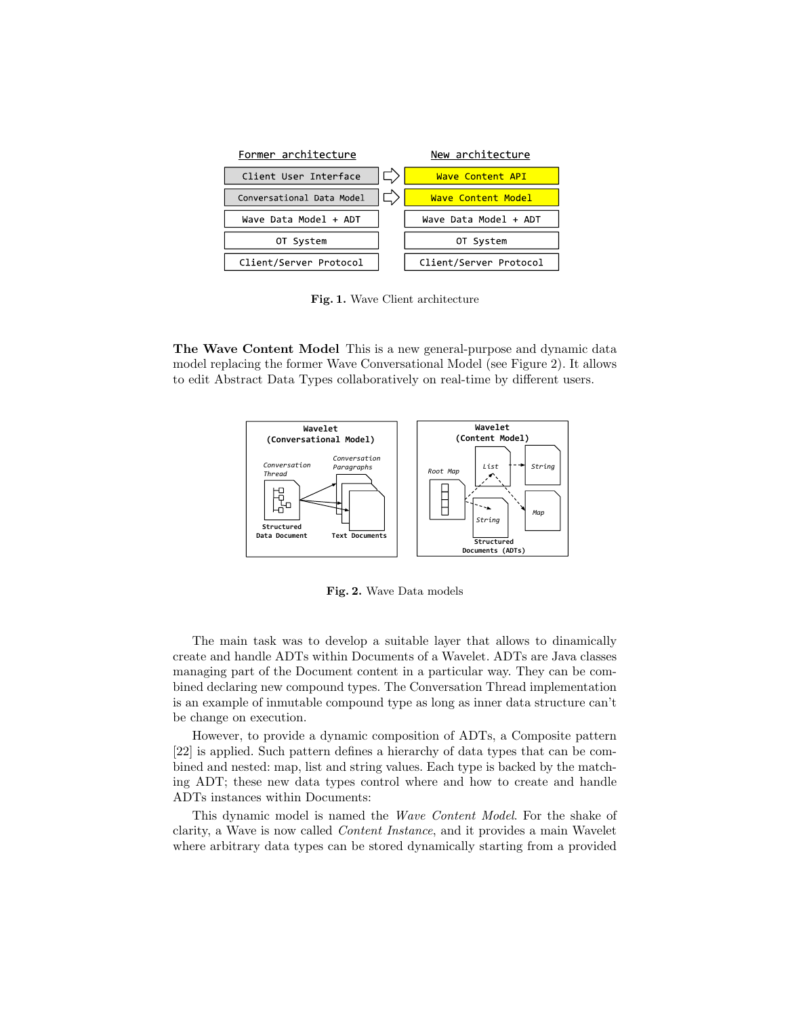

Fig. 1. Wave Client architecture

The Wave Content Model This is a new general-purpose and dynamic data model replacing the former Wave Conversational Model (see Figure 2). It allows to edit Abstract Data Types collaboratively on real-time by different users.



Fig. 2. Wave Data models

The main task was to develop a suitable layer that allows to dinamically create and handle ADTs within Documents of a Wavelet. ADTs are Java classes managing part of the Document content in a particular way. They can be combined declaring new compound types. The Conversation Thread implementation is an example of inmutable compound type as long as inner data structure can't be change on execution.

However, to provide a dynamic composition of ADTs, a Composite pattern [22] is applied. Such pattern defines a hierarchy of data types that can be combined and nested: map, list and string values. Each type is backed by the matching ADT; these new data types control where and how to create and handle ADTs instances within Documents:

This dynamic model is named the Wave Content Model. For the shake of clarity, a Wave is now called Content Instance, and it provides a main Wavelet where arbitrary data types can be stored dynamically starting from a provided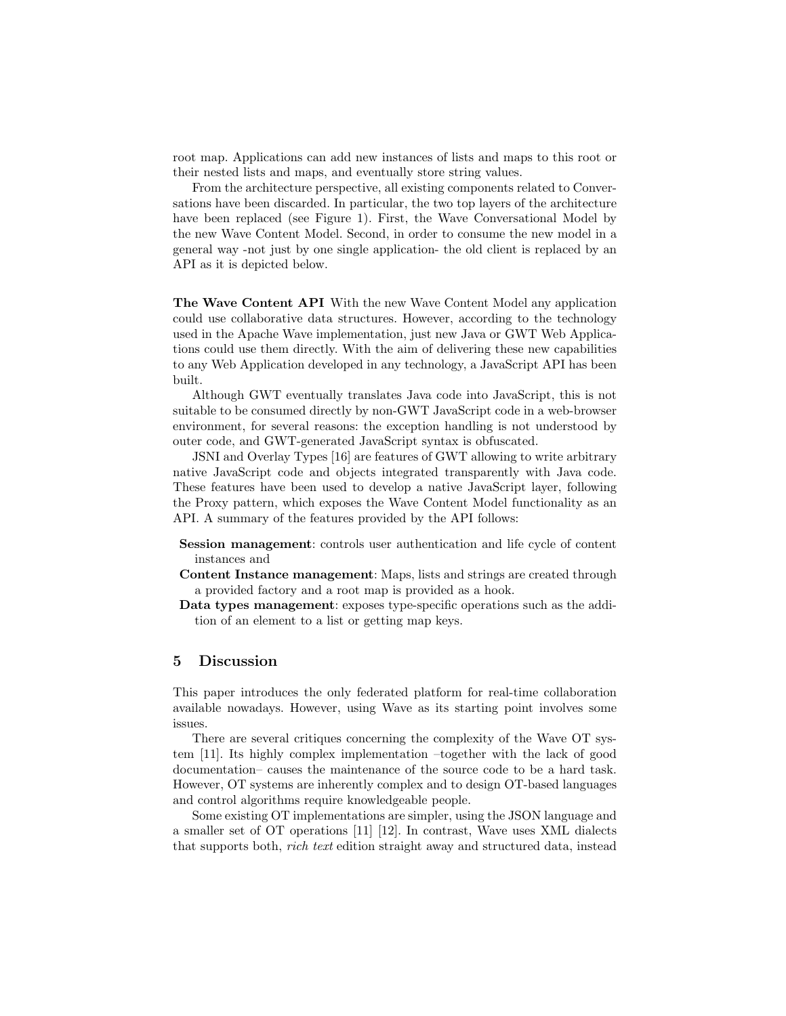root map. Applications can add new instances of lists and maps to this root or their nested lists and maps, and eventually store string values.

From the architecture perspective, all existing components related to Conversations have been discarded. In particular, the two top layers of the architecture have been replaced (see Figure 1). First, the Wave Conversational Model by the new Wave Content Model. Second, in order to consume the new model in a general way -not just by one single application- the old client is replaced by an API as it is depicted below.

The Wave Content API With the new Wave Content Model any application could use collaborative data structures. However, according to the technology used in the Apache Wave implementation, just new Java or GWT Web Applications could use them directly. With the aim of delivering these new capabilities to any Web Application developed in any technology, a JavaScript API has been built.

Although GWT eventually translates Java code into JavaScript, this is not suitable to be consumed directly by non-GWT JavaScript code in a web-browser environment, for several reasons: the exception handling is not understood by outer code, and GWT-generated JavaScript syntax is obfuscated.

JSNI and Overlay Types [16] are features of GWT allowing to write arbitrary native JavaScript code and objects integrated transparently with Java code. These features have been used to develop a native JavaScript layer, following the Proxy pattern, which exposes the Wave Content Model functionality as an API. A summary of the features provided by the API follows:

- Session management: controls user authentication and life cycle of content instances and
- Content Instance management: Maps, lists and strings are created through a provided factory and a root map is provided as a hook.
- Data types management: exposes type-specific operations such as the addition of an element to a list or getting map keys.

#### 5 Discussion

This paper introduces the only federated platform for real-time collaboration available nowadays. However, using Wave as its starting point involves some issues.

There are several critiques concerning the complexity of the Wave OT system [11]. Its highly complex implementation –together with the lack of good documentation– causes the maintenance of the source code to be a hard task. However, OT systems are inherently complex and to design OT-based languages and control algorithms require knowledgeable people.

Some existing OT implementations are simpler, using the JSON language and a smaller set of OT operations [11] [12]. In contrast, Wave uses XML dialects that supports both, rich text edition straight away and structured data, instead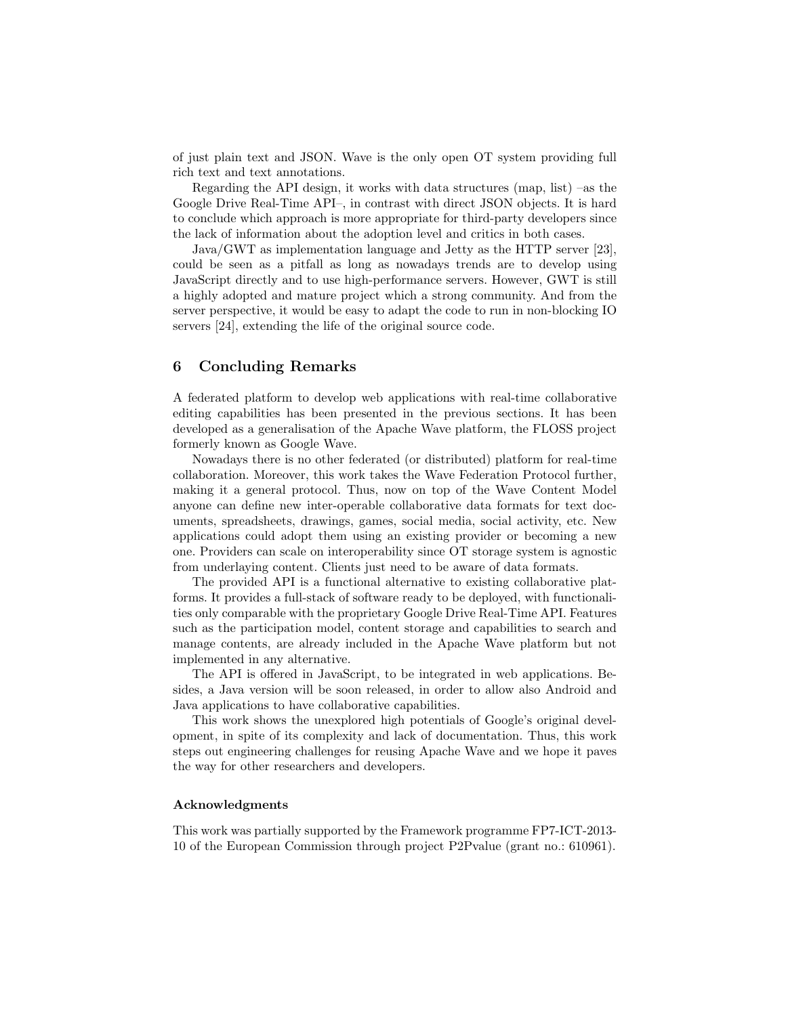of just plain text and JSON. Wave is the only open OT system providing full rich text and text annotations.

Regarding the API design, it works with data structures (map, list) –as the Google Drive Real-Time API–, in contrast with direct JSON objects. It is hard to conclude which approach is more appropriate for third-party developers since the lack of information about the adoption level and critics in both cases.

Java/GWT as implementation language and Jetty as the HTTP server [23], could be seen as a pitfall as long as nowadays trends are to develop using JavaScript directly and to use high-performance servers. However, GWT is still a highly adopted and mature project which a strong community. And from the server perspective, it would be easy to adapt the code to run in non-blocking IO servers [24], extending the life of the original source code.

### 6 Concluding Remarks

A federated platform to develop web applications with real-time collaborative editing capabilities has been presented in the previous sections. It has been developed as a generalisation of the Apache Wave platform, the FLOSS project formerly known as Google Wave.

Nowadays there is no other federated (or distributed) platform for real-time collaboration. Moreover, this work takes the Wave Federation Protocol further, making it a general protocol. Thus, now on top of the Wave Content Model anyone can define new inter-operable collaborative data formats for text documents, spreadsheets, drawings, games, social media, social activity, etc. New applications could adopt them using an existing provider or becoming a new one. Providers can scale on interoperability since OT storage system is agnostic from underlaying content. Clients just need to be aware of data formats.

The provided API is a functional alternative to existing collaborative platforms. It provides a full-stack of software ready to be deployed, with functionalities only comparable with the proprietary Google Drive Real-Time API. Features such as the participation model, content storage and capabilities to search and manage contents, are already included in the Apache Wave platform but not implemented in any alternative.

The API is offered in JavaScript, to be integrated in web applications. Besides, a Java version will be soon released, in order to allow also Android and Java applications to have collaborative capabilities.

This work shows the unexplored high potentials of Google's original development, in spite of its complexity and lack of documentation. Thus, this work steps out engineering challenges for reusing Apache Wave and we hope it paves the way for other researchers and developers.

#### Acknowledgments

This work was partially supported by the Framework programme FP7-ICT-2013- 10 of the European Commission through project P2Pvalue (grant no.: 610961).